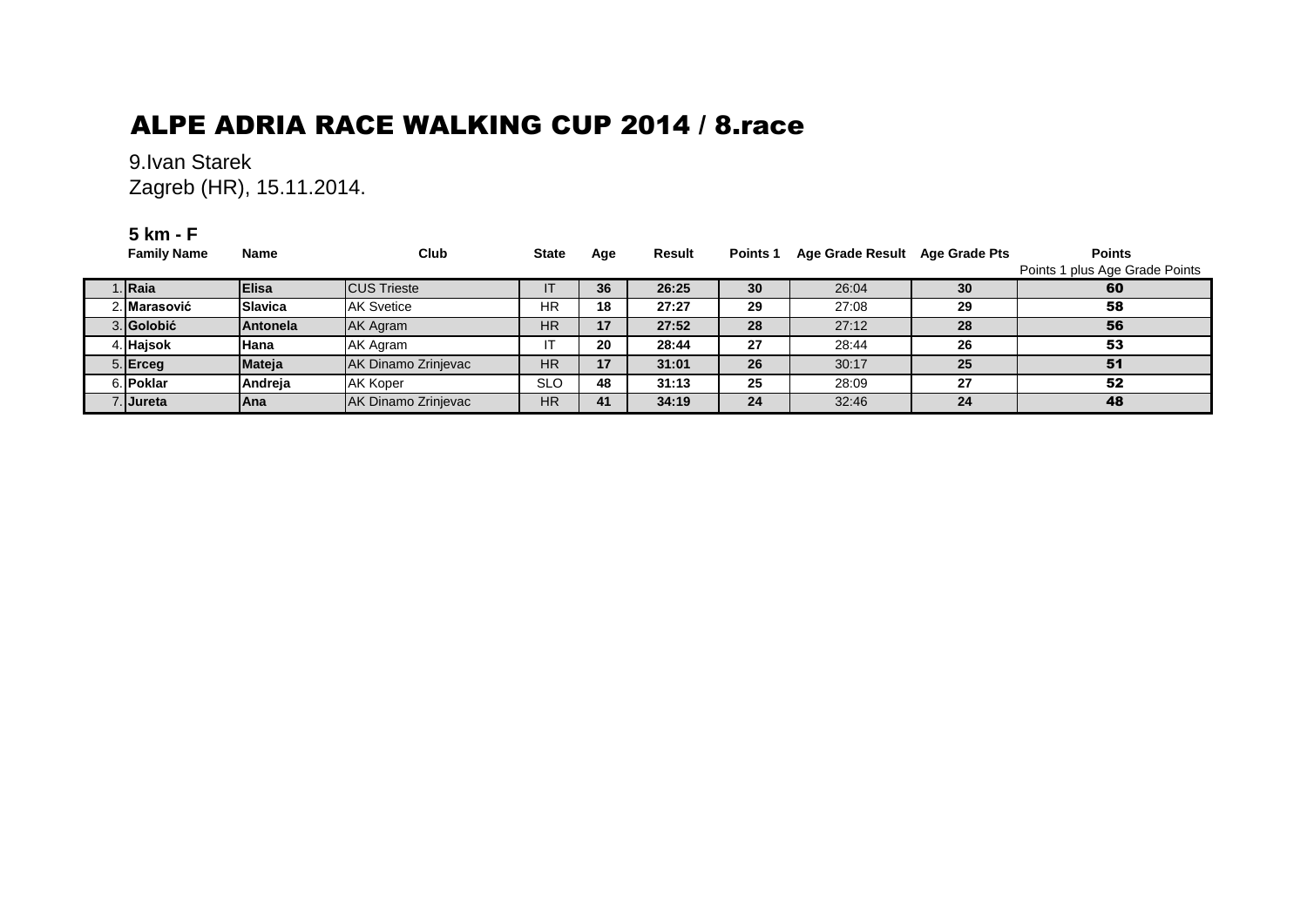# ALPE ADRIA RACE WALKING CUP 2014 / 8.race

### 9.Ivan Starek Zagreb (HR), 15.11.2014.

#### **5 km - F**

| <b>Family Name</b>  | <b>Name</b>     | Club                       | <b>State</b> | Age | Result | Points 1        | Age Grade Result Age Grade Pts |    | <b>Points</b><br>Points 1 plus Age Grade Points |
|---------------------|-----------------|----------------------------|--------------|-----|--------|-----------------|--------------------------------|----|-------------------------------------------------|
| ∣. Raia             | <b>Elisa</b>    | <b>CUS Trieste</b>         |              | 36  | 26:25  | 30 <sub>1</sub> | 26:04                          | 30 | 60                                              |
| <b>∠. Marasović</b> | Slavica         | <b>AK Svetice</b>          | <b>HR</b>    | 18  | 27:27  | 29              | 27:08                          | 29 | 58                                              |
| 3. Golobić          | <b>Antonela</b> | <b>AK Agram</b>            | <b>HR</b>    | 17  | 27:52  | 28              | 27:12                          | 28 | 56                                              |
| 4. Hajsok           | Hana            | AK Agram                   |              | 20  | 28:44  | 27              | 28:44                          | 26 | 53                                              |
| 5. Erceg            | <b>Mateja</b>   | AK Dinamo Zrinjevac        | HR           | 17  | 31:01  | 26              | 30:17                          | 25 | 51                                              |
| 6. Poklar           | Andreja         | <b>AK Koper</b>            | SLO          | 48  | 31:13  | 25              | 28:09                          | 27 | 52                                              |
| <b>∶lJureta</b>     | lAna            | <b>AK Dinamo Zrinjevac</b> | <b>HR</b>    | 41  | 34:19  | 24              | 32:46                          | 24 | 48                                              |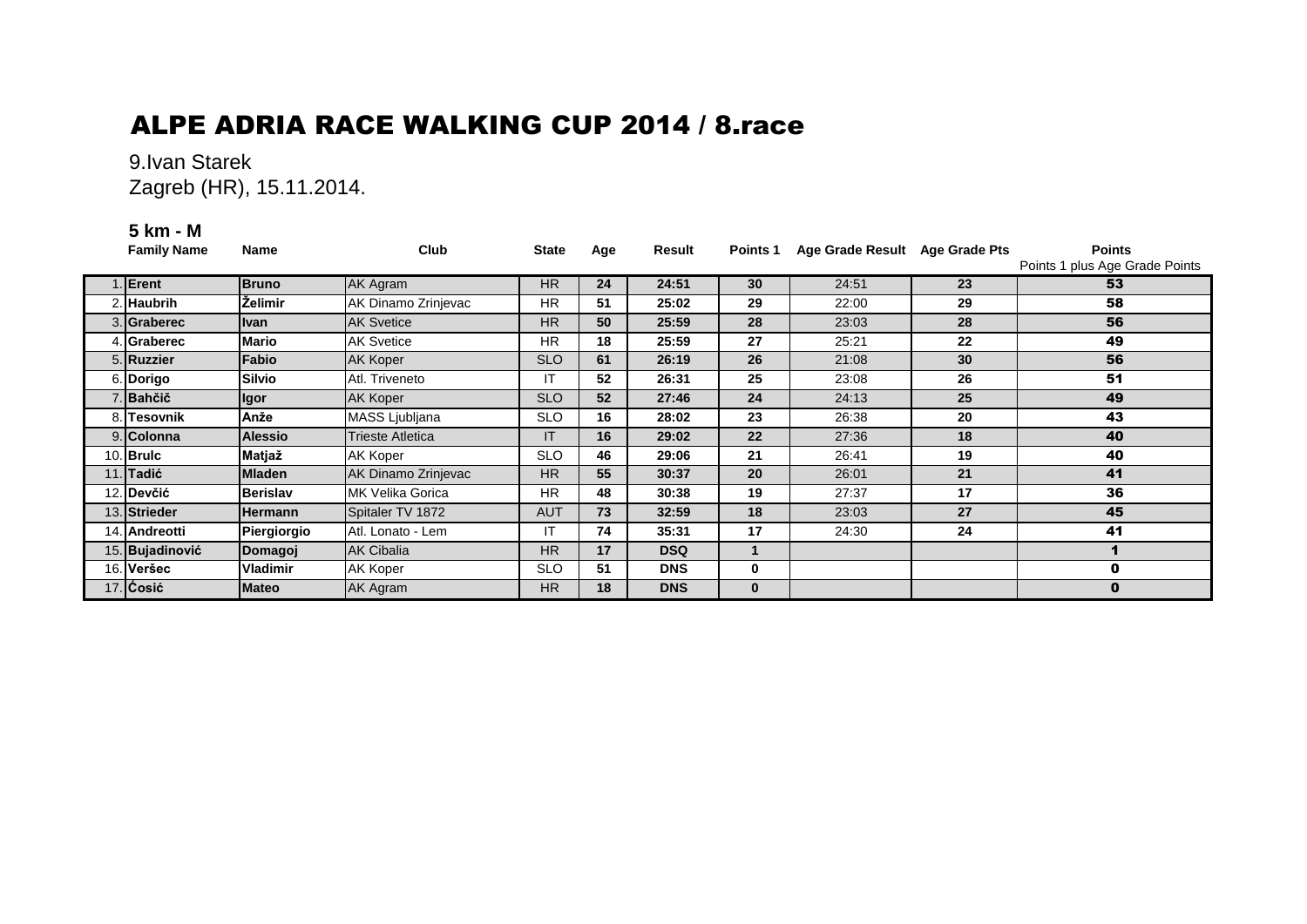# ALPE ADRIA RACE WALKING CUP 2014 / 8.race

### 9.Ivan Starek Zagreb (HR), 15.11.2014.

#### **5 km - M**

| <b>Family Name</b> | <b>Name</b>     | Club                    | <b>State</b> | Age | Result     | Points 1     | Age Grade Result Age Grade Pts |    | <b>Points</b><br>Points 1 plus Age Grade Points |
|--------------------|-----------------|-------------------------|--------------|-----|------------|--------------|--------------------------------|----|-------------------------------------------------|
| Erent              | <b>Bruno</b>    | AK Agram                | <b>HR</b>    | 24  | 24:51      | 30           | 24:51                          | 23 | 53                                              |
| 2. Haubrih         | <b>Želimir</b>  | AK Dinamo Zrinjevac     | <b>HR</b>    | 51  | 25:02      | 29           | 22:00                          | 29 | 58                                              |
| 3. Graberec        | <b>Ivan</b>     | <b>AK Svetice</b>       | <b>HR</b>    | 50  | 25:59      | 28           | 23:03                          | 28 | 56                                              |
| 4. Graberec        | Mario           | <b>AK Svetice</b>       | <b>HR</b>    | 18  | 25:59      | 27           | 25:21                          | 22 | 49                                              |
| 5. Ruzzier         | Fabio           | AK Koper                | <b>SLO</b>   | 61  | 26:19      | 26           | 21:08                          | 30 | 56                                              |
| 6. Dorigo          | <b>Silvio</b>   | Atl. Triveneto          | IT           | 52  | 26:31      | 25           | 23:08                          | 26 | 51                                              |
| 7. Bahčič          | <b>Igor</b>     | AK Koper                | <b>SLO</b>   | 52  | 27:46      | 24           | 24:13                          | 25 | 49                                              |
| 8. Tesovnik        | Anže            | MASS Ljubljana          | <b>SLO</b>   | 16  | 28:02      | 23           | 26:38                          | 20 | 43                                              |
| 9. Colonna         | <b>Alessio</b>  | Trieste Atletica        | IT.          | 16  | 29:02      | 22           | 27:36                          | 18 | 40                                              |
| 10. Brulc          | Matjaž          | AK Koper                | <b>SLO</b>   | 46  | 29:06      | 21           | 26:41                          | 19 | 40                                              |
| 11. Tadić          | <b>Mladen</b>   | AK Dinamo Zrinjevac     | <b>HR</b>    | 55  | 30:37      | 20           | 26:01                          | 21 | 41                                              |
| 12. Devčić         | <b>Berislav</b> | <b>MK Velika Gorica</b> | <b>HR</b>    | 48  | 30:38      | 19           | 27:37                          | 17 | 36                                              |
| 13. Strieder       | <b>Hermann</b>  | Spitaler TV 1872        | <b>AUT</b>   | 73  | 32:59      | 18           | 23:03                          | 27 | 45                                              |
| 14. Andreotti      | Piergiorgio     | Atl. Lonato - Lem       | IT           | 74  | 35:31      | 17           | 24:30                          | 24 | 41                                              |
| 15. Bujadinović    | Domagoj         | <b>AK Cibalia</b>       | <b>HR</b>    | 17  | <b>DSQ</b> |              |                                |    |                                                 |
| 16. Veršec         | Vladimir        | AK Koper                | <b>SLO</b>   | 51  | <b>DNS</b> | 0            |                                |    | 0                                               |
| 17. Cosić          | <b>Mateo</b>    | AK Agram                | <b>HR</b>    | 18  | <b>DNS</b> | $\mathbf{0}$ |                                |    | $\bf{0}$                                        |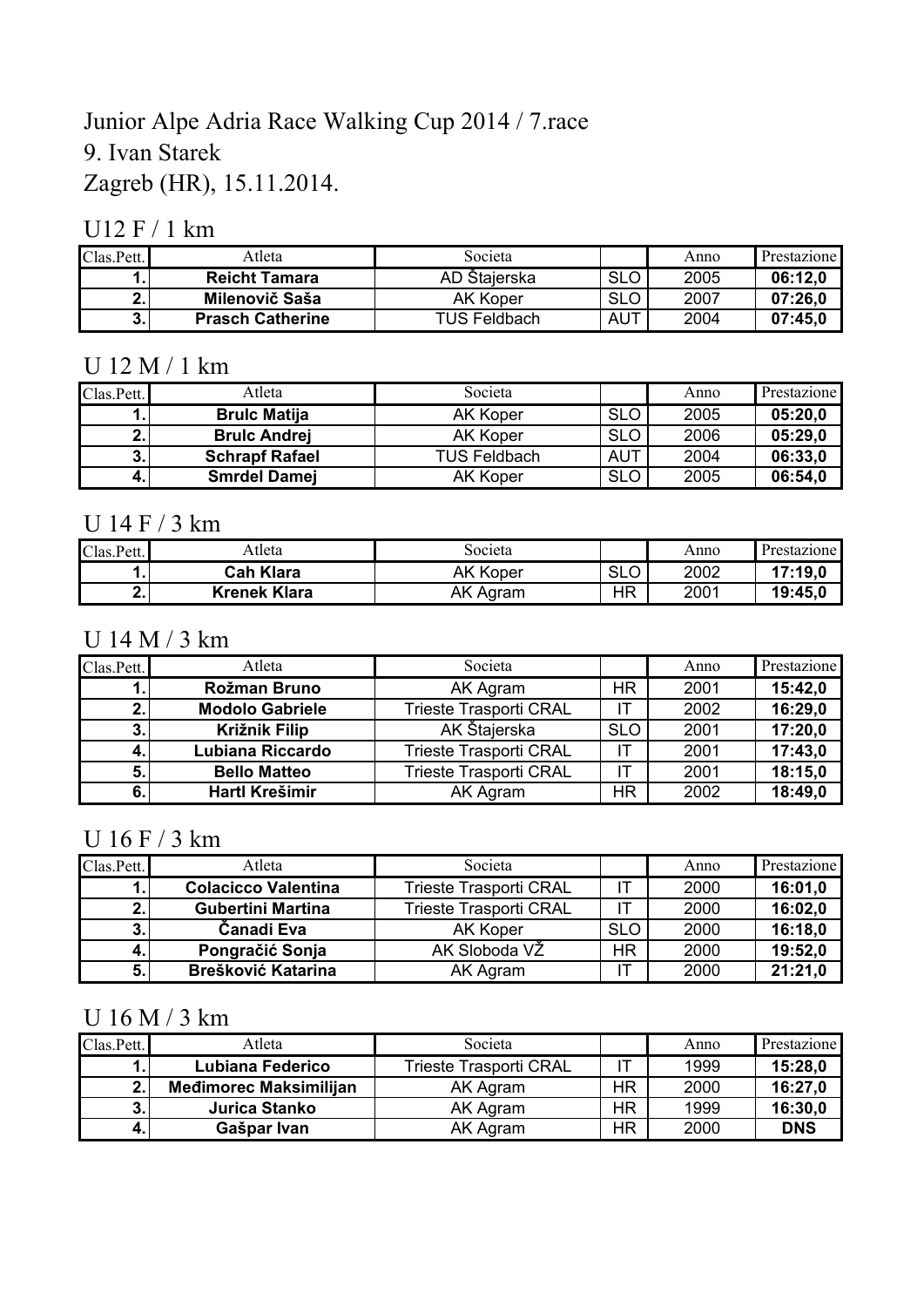# Junior Alpe Adria Race Walking Cup 2014 / 7.race 9. Ivan Starek Zagreb (HR), 15.11.2014.

## U12 F / 1 km

| Clas.Pett.                     | Atleta                  | Societa             |            | Anno | Prestazione |
|--------------------------------|-------------------------|---------------------|------------|------|-------------|
|                                | <b>Reicht Tamara</b>    | AD Štajerska        | <b>SLO</b> | 2005 | 06:12.0     |
| Æ.,                            | Milenovič Saša          | AK Koper            | <b>SLO</b> | 2007 | 07:26.0     |
| $\overline{\mathbf{z}}$<br>J.I | <b>Prasch Catherine</b> | <b>TUS Feldbach</b> | <b>AUT</b> | 2004 | 07:45.0     |

### U 12 M / 1 km

| Clas.Pett. | Atleta                | Societa             |            | Anno | Prestazione |
|------------|-----------------------|---------------------|------------|------|-------------|
|            | <b>Brulc Matija</b>   | <b>AK Koper</b>     | <b>SLO</b> | 2005 | 05:20,0     |
|            | <b>Brulc Andrei</b>   | <b>AK Koper</b>     | <b>SLO</b> | 2006 | 05:29,0     |
| 3.I        | <b>Schrapf Rafael</b> | <b>TUS Feldbach</b> | <b>AUT</b> | 2004 | 06:33,0     |
| 4.         | <b>Smrdel Damej</b>   | <b>AK Koper</b>     | <b>SLO</b> | 2005 | 06:54,0     |

## U 14 F / 3 km

| Clas.Pett. | Atleta              | Societa         |                      | Anno | Prestazione |
|------------|---------------------|-----------------|----------------------|------|-------------|
| . .        | <b>Cah Klara</b>    | <b>AK Koper</b> | <b>SLO</b><br>$\sim$ | 2002 | 17:19.0     |
| .          | <b>Krenek Klara</b> | AK Agram        | НR                   | 2001 | 19:45,0     |

### U 14 M / 3 km

| Clas.Pett. | Atleta                 | Societa                       |            | Anno | Prestazione |
|------------|------------------------|-------------------------------|------------|------|-------------|
|            | Rožman Bruno           | AK Agram                      | HR.        | 2001 | 15:42,0     |
|            | <b>Modolo Gabriele</b> | <b>Trieste Trasporti CRAL</b> | IT.        | 2002 | 16:29,0     |
|            | <b>Križnik Filip</b>   | AK Štajerska                  | <b>SLO</b> | 2001 | 17:20,0     |
|            | Lubiana Riccardo       | <b>Trieste Trasporti CRAL</b> | -IT        | 2001 | 17:43,0     |
| 5          | <b>Bello Matteo</b>    | <b>Trieste Trasporti CRAL</b> | IT         | 2001 | 18:15,0     |
|            | Hartl Krešimir         | AK Agram                      | HR.        | 2002 | 18:49,0     |

## U 16 F / 3 km

| Clas.Pett. | Atleta                     | Societa                       |            | Anno | Prestazione |
|------------|----------------------------|-------------------------------|------------|------|-------------|
|            | <b>Colacicco Valentina</b> | <b>Trieste Trasporti CRAL</b> |            | 2000 | 16:01,0     |
|            | <b>Gubertini Martina</b>   | <b>Trieste Trasporti CRAL</b> |            | 2000 | 16:02,0     |
|            | Čanadi Eva                 | <b>AK Koper</b>               | <b>SLO</b> | 2000 | 16:18,0     |
|            | Pongračić Sonja            | AK Sloboda VŽ                 | <b>HR</b>  | 2000 | 19:52,0     |
|            | <b>Brešković Katarina</b>  | AK Agram                      |            | 2000 | 21:21.0     |

# U 16 M / 3 km

| Clas.Pett. | Atleta                        | Societa                       |     | Anno | Prestazione |
|------------|-------------------------------|-------------------------------|-----|------|-------------|
|            | Lubiana Federico              | <b>Trieste Trasporti CRAL</b> |     | 1999 | 15:28.0     |
| ່າ.        | <b>Medimorec Maksimilijan</b> | AK Agram                      | HR  | 2000 | 16:27.0     |
| 3.I        | Jurica Stanko                 | AK Agram                      | HR. | 1999 | 16:30,0     |
|            | Gašpar Ivan                   | AK Agram                      | ΗR  | 2000 | <b>DNS</b>  |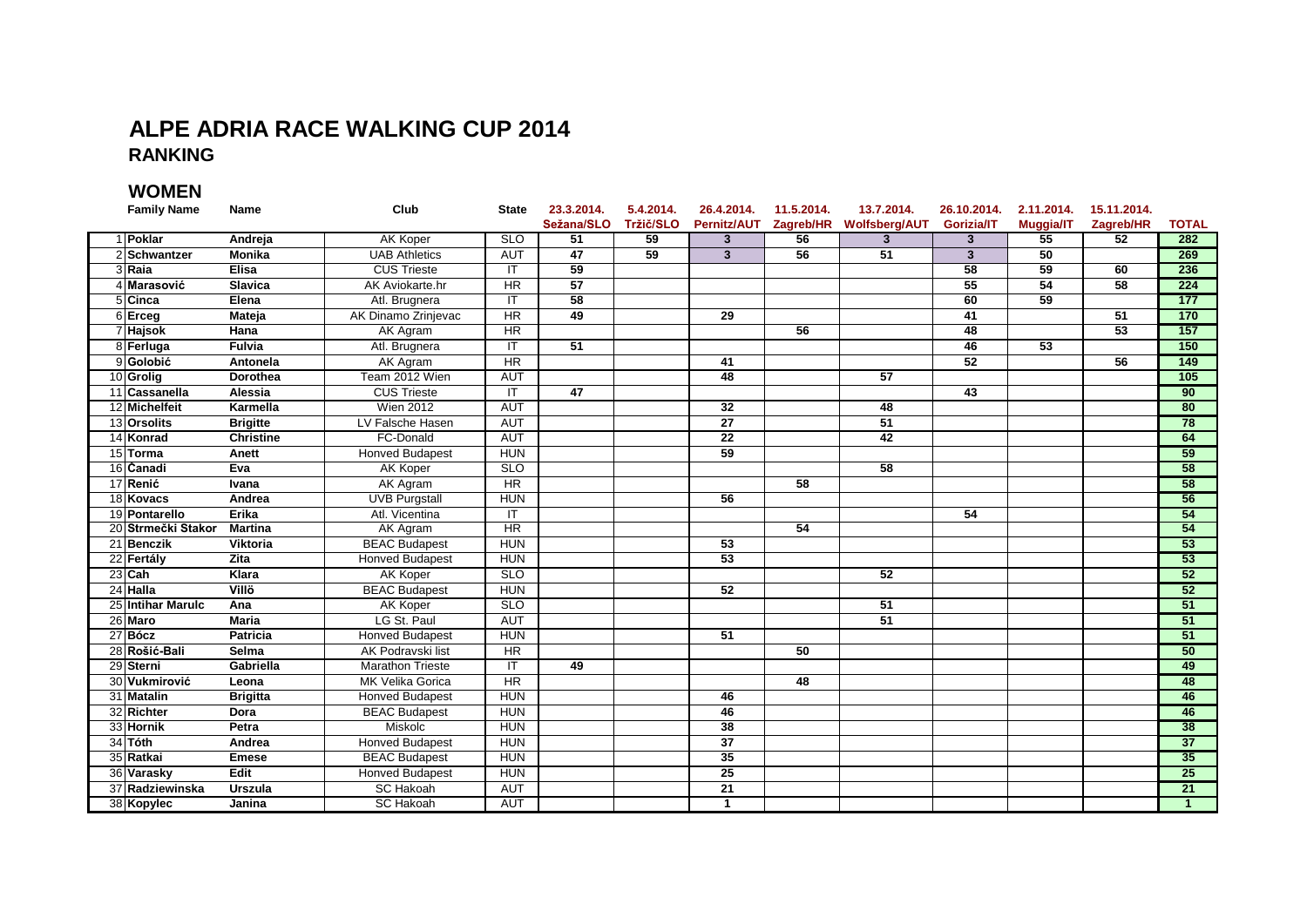### **ALPE ADRIA RACE WALKING CUP 2014 RANKING**

**WOMEN**

| <b>Family Name</b> | <b>Name</b>      | Club                    | <b>State</b>    | 23.3.2014.      | 5.4.2014. | 26.4.2014.              | 11.5.2014. | 13.7.2014.                          | 26.10.2014.             | 2.11.2014.      | 15.11.2014.     |                 |
|--------------------|------------------|-------------------------|-----------------|-----------------|-----------|-------------------------|------------|-------------------------------------|-------------------------|-----------------|-----------------|-----------------|
|                    |                  |                         |                 | Sežana/SLO      | Tržič/SLO |                         |            | Pernitz/AUT Zagreb/HR Wolfsberg/AUT | <b>Gorizia/IT</b>       | Muggia/IT       | Zagreb/HR       | <b>TOTAL</b>    |
| 1 Poklar           | Andreja          | <b>AK Koper</b>         | <b>SLO</b>      | 51              | 59        | $\mathbf{3}$            | 56         | $\overline{3}$                      | $\overline{3}$          | 55              | 52              | 282             |
| 2 Schwantzer       | <b>Monika</b>    | <b>UAB Athletics</b>    | <b>AUT</b>      | 47              | 59        | $\overline{\mathbf{3}}$ | 56         | $\overline{51}$                     | $\overline{\mathbf{3}}$ | 50              |                 | 269             |
| 3 Raia             | <b>Elisa</b>     | <b>CUS Trieste</b>      | IT.             | 59              |           |                         |            |                                     | $\overline{58}$         | 59              | 60              | 236             |
| 4 Marasović        | <b>Slavica</b>   | AK Aviokarte.hr         | $\overline{HR}$ | 57              |           |                         |            |                                     | 55                      | 54              | $\overline{58}$ | 224             |
| 5 Cinca            | Elena            | Atl. Brugnera           | IT              | 58              |           |                         |            |                                     | 60                      | 59              |                 | 177             |
| 6 Erceg            | <b>Mateja</b>    | AK Dinamo Zrinjevac     | HR              | 49              |           | 29                      |            |                                     | 41                      |                 | 51              | 170             |
| 7 Hajsok           | <b>Hana</b>      | AK Agram                | HR              |                 |           |                         | 56         |                                     | 48                      |                 | 53              | 157             |
| 8 Ferluga          | Fulvia           | Atl. Brugnera           | IT              | $\overline{51}$ |           |                         |            |                                     | 46                      | $\overline{53}$ |                 | 150             |
| 9 Golobić          | Antonela         | <b>AK Agram</b>         | HR              |                 |           | 41                      |            |                                     | 52                      |                 | 56              | 149             |
| 10 Grolig          | <b>Dorothea</b>  | Team 2012 Wien          | <b>AUT</b>      |                 |           | 48                      |            | $\overline{57}$                     |                         |                 |                 | 105             |
| 11 Cassanella      | Alessia          | <b>CUS Trieste</b>      | IT.             | 47              |           |                         |            |                                     | 43                      |                 |                 | 90              |
| 12 Michelfeit      | Karmella         | <b>Wien 2012</b>        | <b>AUT</b>      |                 |           | $\overline{32}$         |            | 48                                  |                         |                 |                 | 80              |
| 13 Orsolits        | <b>Brigitte</b>  | LV Falsche Hasen        | <b>AUT</b>      |                 |           | 27                      |            | 51                                  |                         |                 |                 | 78              |
| 14 Konrad          | <b>Christine</b> | FC-Donald               | <b>AUT</b>      |                 |           | 22                      |            | $\overline{42}$                     |                         |                 |                 | 64              |
| 15 Torma           | Anett            | <b>Honved Budapest</b>  | <b>HUN</b>      |                 |           | 59                      |            |                                     |                         |                 |                 | 59              |
| 16 Čanadi          | Eva              | <b>AK Koper</b>         | <b>SLO</b>      |                 |           |                         |            | 58                                  |                         |                 |                 | 58              |
| 17 Renić           | Ivana            | <b>AK Agram</b>         | HR              |                 |           |                         | 58         |                                     |                         |                 |                 | 58              |
| 18 Kovacs          | Andrea           | <b>UVB Purgstall</b>    | <b>HUN</b>      |                 |           | 56                      |            |                                     |                         |                 |                 | 56              |
| 19 Pontarello      | Erika            | Atl. Vicentina          | IT              |                 |           |                         |            |                                     | 54                      |                 |                 | 54              |
| 20 Strmečki Stakor | <b>Martina</b>   | AK Agram                | HR              |                 |           |                         | 54         |                                     |                         |                 |                 | 54              |
| 21 Benczik         | <b>Viktoria</b>  | <b>BEAC Budapest</b>    | <b>HUN</b>      |                 |           | 53                      |            |                                     |                         |                 |                 | 53              |
| 22 Fertály         | <b>Zita</b>      | <b>Honved Budapest</b>  | <b>HUN</b>      |                 |           | $\overline{53}$         |            |                                     |                         |                 |                 | 53              |
| 23 Cah             | Klara            | <b>AK Koper</b>         | <b>SLO</b>      |                 |           |                         |            | $\overline{52}$                     |                         |                 |                 | 52              |
| 24 Halla           | Villö            | <b>BEAC Budapest</b>    | <b>HUN</b>      |                 |           | 52                      |            |                                     |                         |                 |                 | 52              |
| 25 Intihar Marulc  | Ana              | <b>AK Koper</b>         | <b>SLO</b>      |                 |           |                         |            | 51                                  |                         |                 |                 | 51              |
| 26 Maro            | <b>Maria</b>     | LG St. Paul             | <b>AUT</b>      |                 |           |                         |            | $\overline{51}$                     |                         |                 |                 | 51              |
| 27 Bócz            | <b>Patricia</b>  | <b>Honved Budapest</b>  | <b>HUN</b>      |                 |           | $\overline{51}$         |            |                                     |                         |                 |                 | 51              |
| 28 Rošić-Bali      | <b>Selma</b>     | AK Podravski list       | HR              |                 |           |                         | 50         |                                     |                         |                 |                 | 50              |
| 29 Sterni          | Gabriella        | <b>Marathon Trieste</b> | IT.             | 49              |           |                         |            |                                     |                         |                 |                 | 49              |
| 30 Vukmirović      | Leona            | MK Velika Gorica        | $\overline{HR}$ |                 |           |                         | 48         |                                     |                         |                 |                 | 48              |
| 31 Matalin         | <b>Brigitta</b>  | <b>Honved Budapest</b>  | <b>HUN</b>      |                 |           | 46                      |            |                                     |                         |                 |                 | 46              |
| 32 Richter         | Dora             | <b>BEAC Budapest</b>    | <b>HUN</b>      |                 |           | 46                      |            |                                     |                         |                 |                 | 46              |
| 33 Hornik          | Petra            | Miskolc                 | <b>HUN</b>      |                 |           | 38                      |            |                                     |                         |                 |                 | 38              |
| 34 Tóth            | Andrea           | <b>Honved Budapest</b>  | <b>HUN</b>      |                 |           | 37                      |            |                                     |                         |                 |                 | 37              |
| 35 Ratkai          | <b>Emese</b>     | <b>BEAC Budapest</b>    | <b>HUN</b>      |                 |           | 35                      |            |                                     |                         |                 |                 | 35              |
| 36 Varasky         | Edit             | <b>Honved Budapest</b>  | <b>HUN</b>      |                 |           | $\overline{25}$         |            |                                     |                         |                 |                 | 25              |
| 37 Radziewinska    | <b>Urszula</b>   | <b>SC Hakoah</b>        | <b>AUT</b>      |                 |           | $\overline{21}$         |            |                                     |                         |                 |                 | $\overline{21}$ |
| 38 Kopylec         | Janina           | <b>SC Hakoah</b>        | <b>AUT</b>      |                 |           | $\mathbf{1}$            |            |                                     |                         |                 |                 | $\overline{1}$  |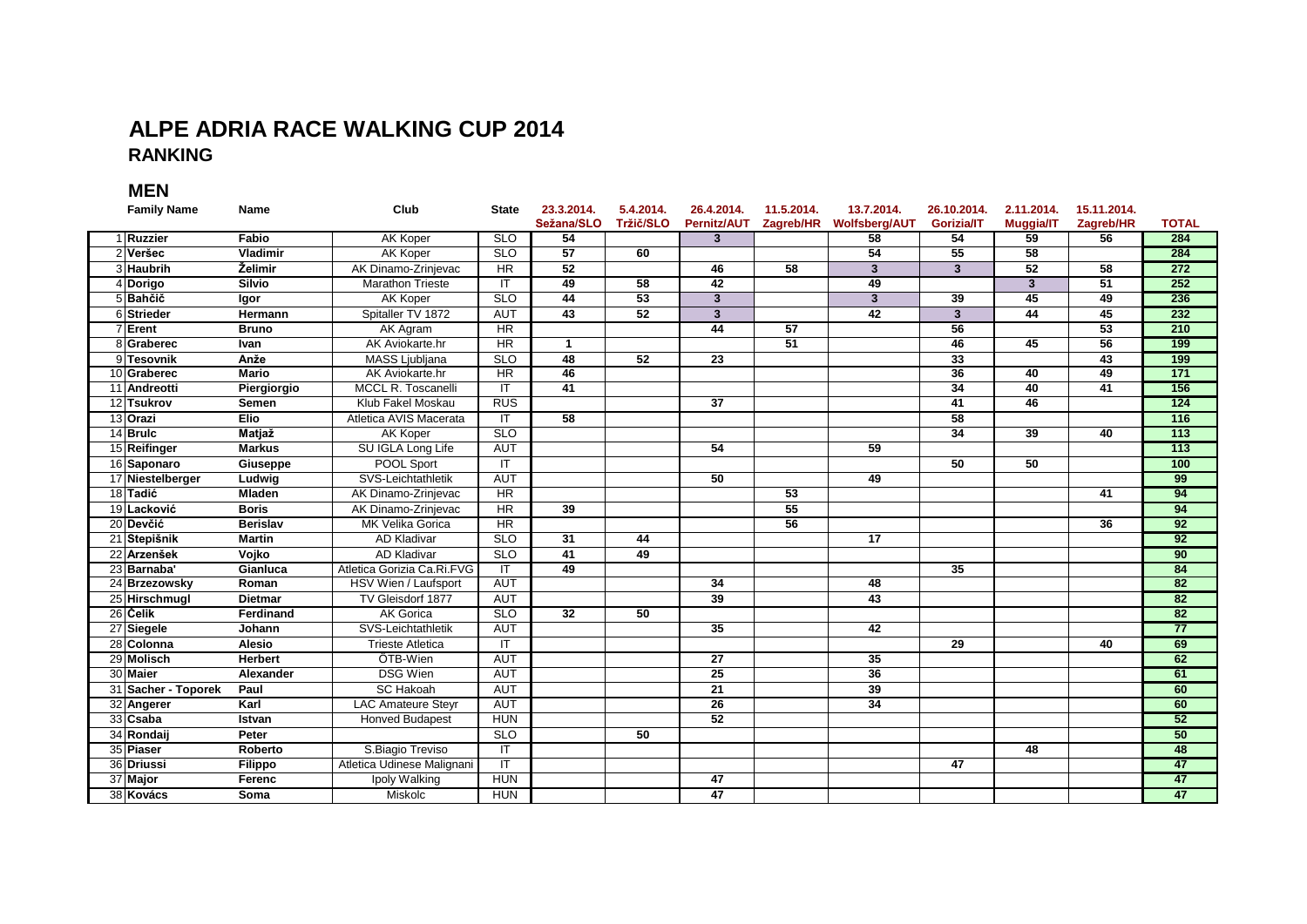#### **ALPE ADRIA RACE WALKING CUP 2014 RANKING**

**MEN**

| <b>Family Name</b>  | <b>Name</b>     | Club                       | <b>State</b>            | 23.3.2014.<br>Sežana/SLO | 5.4.2014.<br>Tržič/SLO | 26.4.2014.<br>Pernitz/AUT | 11.5.2014.<br>Zagreb/HR | 13.7.2014.<br><b>Wolfsberg/AUT</b> | 26.10.2014.<br><b>Gorizia/IT</b> | 2.11.2014.<br><b>Muggia/IT</b> | 15.11.2014.<br>Zagreb/HR | <b>TOTAL</b>     |
|---------------------|-----------------|----------------------------|-------------------------|--------------------------|------------------------|---------------------------|-------------------------|------------------------------------|----------------------------------|--------------------------------|--------------------------|------------------|
| 1 Ruzzier           | Fabio           | <b>AK Koper</b>            | <b>SLO</b>              | 54                       |                        | $\overline{3}$            |                         | 58                                 | 54                               | 59                             | 56                       | 284              |
| 2 Veršec            | Vladimir        | <b>AK Koper</b>            | <b>SLO</b>              | 57                       | 60                     |                           |                         | 54                                 | 55                               | 58                             |                          | 284              |
| 3 Haubrih           | Želimir         | AK Dinamo-Zrinjevac        | HR                      | 52                       |                        | 46                        | $\overline{58}$         | $\overline{\mathbf{3}}$            | $\overline{\mathbf{3}}$          | 52                             | 58                       | 272              |
| 4 Dorigo            | <b>Silvio</b>   | <b>Marathon Trieste</b>    | IT                      | 49                       | $\overline{58}$        | $\overline{42}$           |                         | 49                                 |                                  | $\mathbf{3}$                   | 51                       | 252              |
| 5 Bahčič            | Igor            | AK Koper                   | <b>SLO</b>              | 44                       | 53                     | $\overline{3}$            |                         | $\overline{\mathbf{3}}$            | 39                               | 45                             | 49                       | 236              |
| 6 Strieder          | Hermann         | Spitaller TV 1872          | <b>AUT</b>              | $\overline{43}$          | 52                     | $\mathbf{3}$              |                         | 42                                 | $\overline{3}$                   | 44                             | 45                       | 232              |
| 7 Erent             | <b>Bruno</b>    | AK Agram                   | HR                      |                          |                        | 44                        | $\overline{57}$         |                                    | 56                               |                                | 53                       | 210              |
| 8 Graberec          | Ivan            | AK Aviokarte.hr            | HR                      | $\mathbf{1}$             |                        |                           | 51                      |                                    | 46                               | 45                             | 56                       | 199              |
| 9 Tesovnik          | Anže            | MASS Ljubljana             | <b>SLO</b>              | 48                       | 52                     | $\overline{23}$           |                         |                                    | 33                               |                                | 43                       | 199              |
| 10 Graberec         | <b>Mario</b>    | AK Aviokarte.hr            | HR                      | 46                       |                        |                           |                         |                                    | 36                               | 40                             | 49                       | $171$            |
| 11 Andreotti        | Piergiorgio     | MCCL R. Toscanelli         | IT                      | 41                       |                        |                           |                         |                                    | 34                               | 40                             | 41                       | 156              |
| 12 Tsukrov          | <b>Semen</b>    | Klub Fakel Moskau          | <b>RUS</b>              |                          |                        | $\overline{37}$           |                         |                                    | 41                               | 46                             |                          | 124              |
| 13 Orazi            | <b>Elio</b>     | Atletica AVIS Macerata     | IT                      | $\overline{58}$          |                        |                           |                         |                                    | 58                               |                                |                          | 116              |
| 14 Brulc            | Matjaž          | AK Koper                   | SLO                     |                          |                        |                           |                         |                                    | $\overline{34}$                  | 39                             | 40                       | $\overline{113}$ |
| 15 Reifinger        | <b>Markus</b>   | SU IGLA Long Life          | <b>AUT</b>              |                          |                        | 54                        |                         | 59                                 |                                  |                                |                          | 113              |
| 16 Saponaro         | Giuseppe        | POOL Sport                 | $\overline{\mathsf{T}}$ |                          |                        |                           |                         |                                    | 50                               | 50                             |                          | 100              |
| 17 Niestelberger    | Ludwig          | SVS-Leichtathletik         | <b>AUT</b>              |                          |                        | 50                        |                         | 49                                 |                                  |                                |                          | 99               |
| 18 Tadić            | <b>Mladen</b>   | AK Dinamo-Zrinjevac        | HR                      |                          |                        |                           | 53                      |                                    |                                  |                                | 41                       | 94               |
| 19 Lacković         | <b>Boris</b>    | AK Dinamo-Zrinievac        | HR                      | 39                       |                        |                           | 55                      |                                    |                                  |                                |                          | 94               |
| 20 Devčić           | <b>Berislav</b> | <b>MK Velika Gorica</b>    | HR                      |                          |                        |                           | 56                      |                                    |                                  |                                | 36                       | 92               |
| 21 Stepišnik        | <b>Martin</b>   | <b>AD Kladivar</b>         | <b>SLO</b>              | $\overline{31}$          | 44                     |                           |                         | $\overline{17}$                    |                                  |                                |                          | 92               |
| 22 Arzenšek         | Vojko           | <b>AD Kladivar</b>         | <b>SLO</b>              | 41                       | 49                     |                           |                         |                                    |                                  |                                |                          | 90               |
| 23 Barnaba'         | Gianluca        | Atletica Gorizia Ca.Ri.FVG | IT                      | 49                       |                        |                           |                         |                                    | 35                               |                                |                          | 84               |
| 24 Brzezowsky       | Roman           | HSV Wien / Laufsport       | <b>AUT</b>              |                          |                        | 34                        |                         | 48                                 |                                  |                                |                          | 82               |
| 25 Hirschmugl       | <b>Dietmar</b>  | TV Gleisdorf 1877          | <b>AUT</b>              |                          |                        | 39                        |                         | 43                                 |                                  |                                |                          | 82               |
| 26 Celik            | Ferdinand       | <b>AK Gorica</b>           | <b>SLO</b>              | $\overline{32}$          | 50                     |                           |                         |                                    |                                  |                                |                          | 82               |
| 27 Siegele          | Johann          | SVS-Leichtathletik         | <b>AUT</b>              |                          |                        | 35                        |                         | 42                                 |                                  |                                |                          | 77               |
| 28 Colonna          | Alesio          | <b>Trieste Atletica</b>    | IT                      |                          |                        |                           |                         |                                    | 29                               |                                | 40                       | 69               |
| 29 Molisch          | <b>Herbert</b>  | ÖTB-Wien                   | <b>AUT</b>              |                          |                        | $\overline{27}$           |                         | $\overline{35}$                    |                                  |                                |                          | 62               |
| 30 Maier            | Alexander       | <b>DSG Wien</b>            | <b>AUT</b>              |                          |                        | 25                        |                         | $\overline{36}$                    |                                  |                                |                          | 61               |
| 31 Sacher - Toporek | Paul            | <b>SC Hakoah</b>           | <b>AUT</b>              |                          |                        | $\overline{21}$           |                         | 39                                 |                                  |                                |                          | 60               |
| 32 Angerer          | Karl            | <b>LAC Amateure Steyr</b>  | <b>AUT</b>              |                          |                        | 26                        |                         | $\overline{34}$                    |                                  |                                |                          | 60               |
| 33 Csaba            | Istvan          | <b>Honved Budapest</b>     | <b>HUN</b>              |                          |                        | $\overline{52}$           |                         |                                    |                                  |                                |                          | $\overline{52}$  |
| 34 Rondaii          | Peter           |                            | SLO                     |                          | 50                     |                           |                         |                                    |                                  |                                |                          | 50               |
| 35 Piaser           | <b>Roberto</b>  | S.Biagio Treviso           | $\overline{\mathsf{T}}$ |                          |                        |                           |                         |                                    |                                  | 48                             |                          | 48               |
| 36 Driussi          | Filippo         | Atletica Udinese Malignani | $\overline{\mathsf{T}}$ |                          |                        |                           |                         |                                    | 47                               |                                |                          | 47               |
| 37 Major            | Ferenc          | Ipoly Walking              | <b>HUN</b>              |                          |                        | 47                        |                         |                                    |                                  |                                |                          | 47               |
| 38 Kovács           | <b>Soma</b>     | <b>Miskolc</b>             | <b>HUN</b>              |                          |                        | 47                        |                         |                                    |                                  |                                |                          | 47               |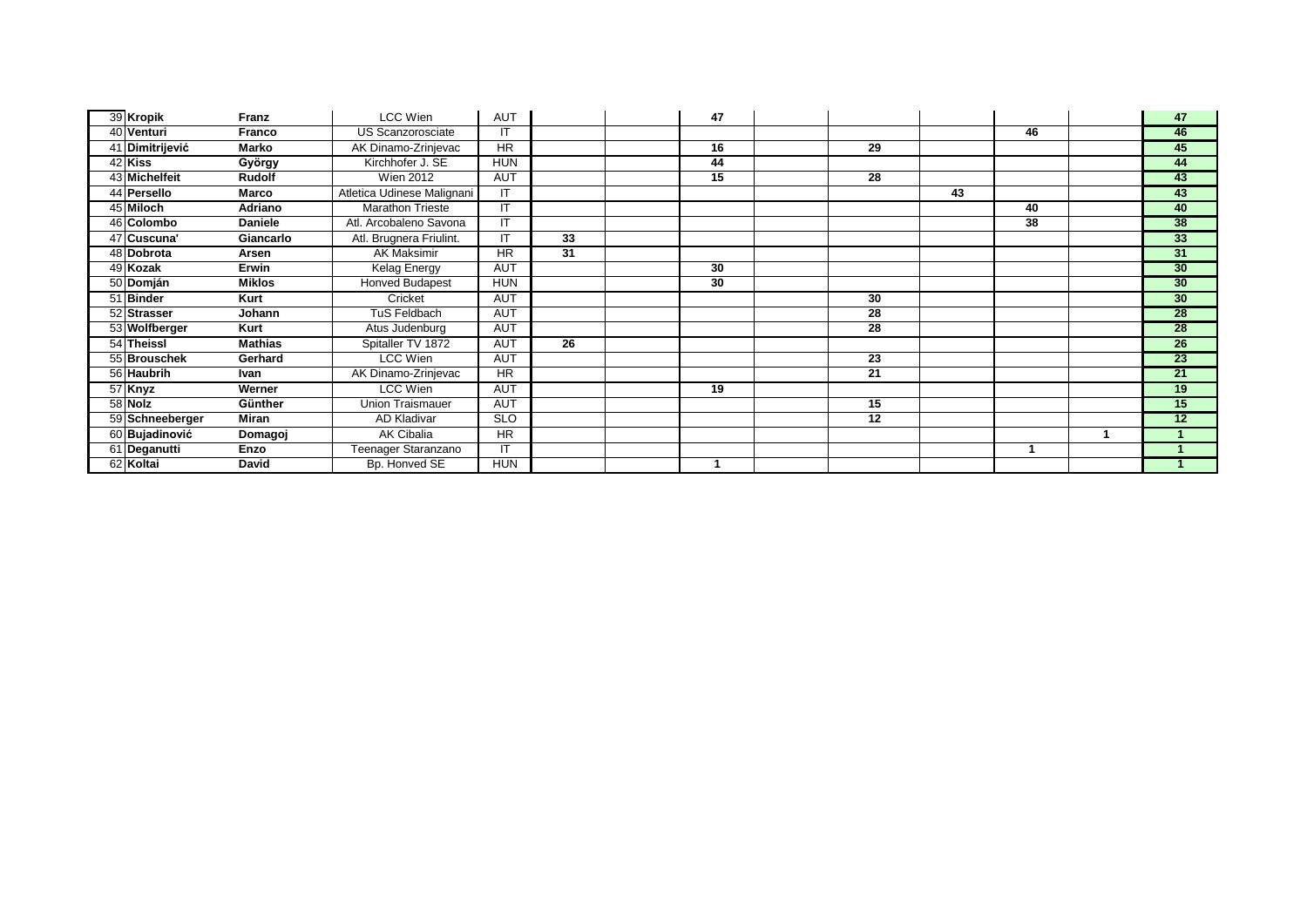| 39 Kropik       | Franz          | LCC Wien                   | AUT        |    | 47 |    |    |    | 47              |
|-----------------|----------------|----------------------------|------------|----|----|----|----|----|-----------------|
| 40 Venturi      | <b>Franco</b>  | US Scanzorosciate          | IT         |    |    |    |    | 46 | 46              |
| 41 Dimitrijević | Marko          | AK Dinamo-Zrinjevac        | <b>HR</b>  |    | 16 | 29 |    |    | 45              |
| 42 Kiss         | György         | Kirchhofer J. SE           | <b>HUN</b> |    | 44 |    |    |    | 44              |
| 43 Michelfeit   | Rudolf         | <b>Wien 2012</b>           | <b>AUT</b> |    | 15 | 28 |    |    | 43              |
| 44 Persello     | Marco          | Atletica Udinese Malignani | IT         |    |    |    | 43 |    | 43              |
| 45 Miloch       | Adriano        | <b>Marathon Trieste</b>    | IT         |    |    |    |    | 40 | 40              |
| 46 Colombo      | <b>Daniele</b> | Atl. Arcobaleno Savona     | IT         |    |    |    |    | 38 | 38              |
| 47 Cuscuna'     | Giancarlo      | Atl. Brugnera Friulint.    | IT         | 33 |    |    |    |    | 33              |
| 48 Dobrota      | Arsen          | <b>AK Maksimir</b>         | HR         | 31 |    |    |    |    | 31              |
| 49 Kozak        | <b>Erwin</b>   | Kelag Energy               | <b>AUT</b> |    | 30 |    |    |    | 30              |
| 50 Domján       | <b>Miklos</b>  | <b>Honved Budapest</b>     | <b>HUN</b> |    | 30 |    |    |    | 30              |
| 51 Binder       | Kurt           | Cricket                    | <b>AUT</b> |    |    | 30 |    |    | 30              |
| 52 Strasser     | Johann         | TuS Feldbach               | <b>AUT</b> |    |    | 28 |    |    | 28              |
| 53 Wolfberger   | Kurt           | Atus Judenburg             | <b>AUT</b> |    |    | 28 |    |    | 28              |
| 54 Theissl      | <b>Mathias</b> | Spitaller TV 1872          | <b>AUT</b> | 26 |    |    |    |    | $\overline{26}$ |
| 55 Brouschek    | Gerhard        | LCC Wien                   | AUT        |    |    | 23 |    |    | $\overline{23}$ |
| 56 Haubrih      | Ivan           | AK Dinamo-Zrinjevac        | <b>HR</b>  |    |    | 21 |    |    | 21              |
| 57 Knyz         | Werner         | LCC Wien                   | <b>AUT</b> |    | 19 |    |    |    | 19              |
| 58 Nolz         | Günther        | Union Traismauer           | <b>AUT</b> |    |    | 15 |    |    | 15              |
| 59 Schneeberger | Miran          | <b>AD Kladivar</b>         | <b>SLO</b> |    |    | 12 |    |    | $\overline{12}$ |
| 60 Bujadinović  | Domagoj        | <b>AK Cibalia</b>          | HR         |    |    |    |    |    |                 |
| 61 Deganutti    | Enzo           | Teenager Staranzano        | IT         |    |    |    |    |    |                 |
| 62 Koltai       | David          | Bp. Honved SE              | <b>HUN</b> |    |    |    |    |    |                 |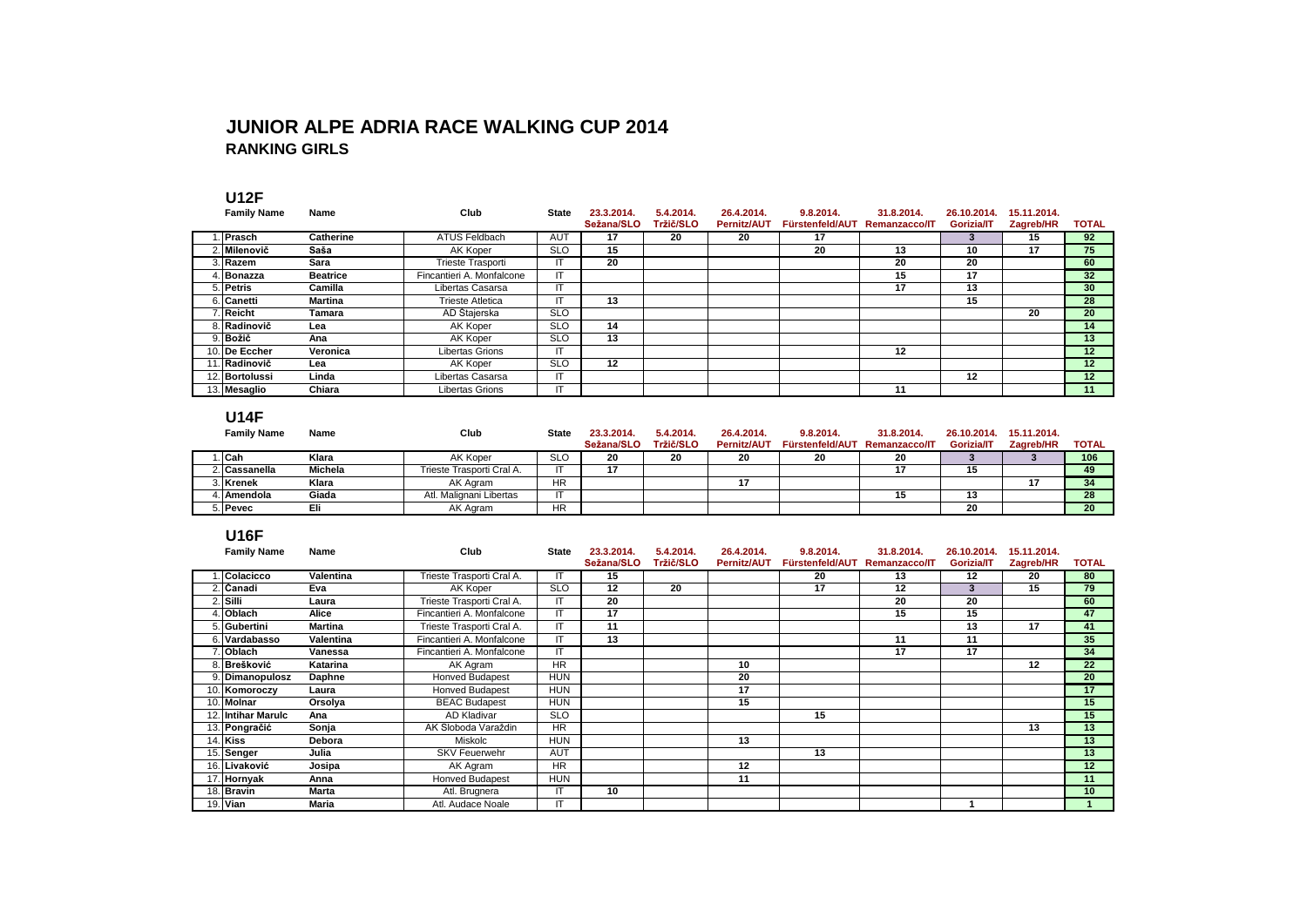#### **JUNIOR ALPE ADRIA RACE WALKING CUP 2014 RANKING GIRLS**

#### **U12F**

| <b>Family Name</b> | Name            | Club                      | <b>State</b> | 23.3.2014. | 5.4.2014. | 26.4.2014.         | 9.8.2014.       | 31.8.2014.           | 26.10.2014. | 15.11.2014. |                 |
|--------------------|-----------------|---------------------------|--------------|------------|-----------|--------------------|-----------------|----------------------|-------------|-------------|-----------------|
|                    |                 |                           |              | Sežana/SLO | Tržič/SLO | <b>Pernitz/AUT</b> | Fürstenfeld/AUT | <b>Remanzacco/IT</b> | Gorizia/IT  | Zagreb/HR   | <b>TOTAL</b>    |
| . IPrasch          | Catherine       | ATUS Feldbach             | <b>AUT</b>   | 17         | 20        | 20                 | 17              |                      |             | 15          | 92              |
| <b>∴ Milenovič</b> | Saša            | AK Koper                  | <b>SLO</b>   | 15         |           |                    | 20              | 13                   | 10          | 17          | 75              |
| . Razem            | Sara            | Trieste Trasporti         | Π            | 20         |           |                    |                 | 20                   | 20          |             | 60              |
| . IBonazza         | <b>Beatrice</b> | Fincantieri A. Monfalcone | ΙT           |            |           |                    |                 | 15                   | 17          |             | 32 <sub>2</sub> |
| 5. Petris          | Camilla         | Libertas Casarsa          | IT           |            |           |                    |                 | 17                   | 13          |             | 30 <sup>°</sup> |
| 6. Canetti         | Martina         | <b>Trieste Atletica</b>   | ΙT           | 13         |           |                    |                 |                      | 15          |             | 28              |
| Reicht             | Tamara          | AD Štajerska              | <b>SLO</b>   |            |           |                    |                 |                      |             | 20          | 20              |
| 8. Radinovič       | Lea             | AK Koper                  | <b>SLO</b>   | 14         |           |                    |                 |                      |             |             | 14              |
| 9. Božič           | Ana             | AK Koper                  | <b>SLO</b>   | 13         |           |                    |                 |                      |             |             | 13              |
| 10. De Eccher      | Veronica        | <b>Libertas Grions</b>    | IT           |            |           |                    |                 | 12                   |             |             | 12 <sup>2</sup> |
| 11. Radinovič      | Lea             | AK Koper                  | <b>SLO</b>   | 12         |           |                    |                 |                      |             |             | 12              |
| 12. Bortolussi     | Linda           | Libertas Casarsa          | IT           |            |           |                    |                 |                      | $12 \,$     |             | 12              |
| 13. Mesaglio       | Chiara          | Libertas Grions           | IT           |            |           |                    |                 | 11                   |             |             | 11              |

#### **U14F**

| <b>Family Name</b> | Name    | Club                      | <b>State</b> | 23.3.2014. | 5.4.2014. | 26.4.2014.         | 9.8.2014.       | 31.8.2014.           | 26.10.2014. | 15.11.2014. |              |
|--------------------|---------|---------------------------|--------------|------------|-----------|--------------------|-----------------|----------------------|-------------|-------------|--------------|
|                    |         |                           |              | Sežana/SLO | Tržič/SLO | <b>Pernitz/AUT</b> | Fürstenfeld/AUT | <b>Remanzacco/IT</b> | Gorizia/IT  | Zagreb/HR   | <b>TOTAL</b> |
| . ICah             | Klara   | AK Koper                  | <b>SLC</b>   | 20         | 20        | 20                 | 20              | 20                   |             |             | 106          |
| 2. Cassanella      | Michela | Trieste Trasporti Cral A. |              |            |           |                    |                 |                      |             |             | 49           |
| 3. Krenek          | Klara   | AK Agram                  | <b>HR</b>    |            |           |                    |                 |                      |             |             | 34           |
| . IAmendola        | Giada   | Atl. Malignani Libertas   |              |            |           |                    |                 |                      |             |             | 28           |
| 5. Pevec           | Eli     | AK Agram                  | <b>HR</b>    |            |           |                    |                 |                      | 20          |             | 20           |

#### **U16F**

| <b>Family Name</b> | Name           | Club                      | <b>State</b> | 23.3.2014. | 5.4.2014. | 26.4.2014.         | 9.8.2014.       | 31.8.2014.    | 26.10.2014. | 15.11.2014. |                 |
|--------------------|----------------|---------------------------|--------------|------------|-----------|--------------------|-----------------|---------------|-------------|-------------|-----------------|
|                    |                |                           |              | Sežana/SLO | Tržič/SLO | <b>Pernitz/AUT</b> | Fürstenfeld/AUT | Remanzacco/IT | Gorizia/IT  | Zagreb/HR   | <b>TOTAL</b>    |
| Colacicco          | Valentina      | Trieste Trasporti Cral A. |              | 15         |           |                    | 20              | 13            | 12          | 20          | 80              |
| ∴  Čanadi          | Eva            | AK Koper                  | <b>SLO</b>   | 12         | 20        |                    | 17              | 12            | 3           | 15          | 79              |
| ∴ Silli            | Laura          | Trieste Trasporti Cral A. | IT           | 20         |           |                    |                 | 20            | 20          |             | 60              |
| . Oblach           | Alice          | Fincantieri A. Monfalcone | IT           | 17         |           |                    |                 | 15            | 15          |             | 47              |
| 5. Gubertini       | <b>Martina</b> | Trieste Trasporti Cral A. | IT           | 11         |           |                    |                 |               | 13          | 17          | 41              |
| 6. Vardabasso      | Valentina      | Fincantieri A. Monfalcone | IT           | 13         |           |                    |                 | 11            | 11          |             | 35              |
| <b>Oblach</b>      | Vanessa        | Fincantieri A. Monfalcone | ΙT           |            |           |                    |                 | 17            | 17          |             | 34              |
| 8. Brešković       | Katarina       | AK Agram                  | <b>HR</b>    |            |           | 10                 |                 |               |             | 12          | 22              |
| 9. Dimanopulosz    | Daphne         | Honved Budapest           | <b>HUN</b>   |            |           | 20                 |                 |               |             |             | 20              |
| 10. Komoroczy      | Laura          | <b>Honved Budapest</b>    | <b>HUN</b>   |            |           | 17                 |                 |               |             |             | 17              |
| 10. Molnar         | Orsolya        | <b>BEAC Budapest</b>      | <b>HUN</b>   |            |           | 15                 |                 |               |             |             | 15              |
| 12. Intihar Marulc | Ana            | AD Kladivar               | <b>SLO</b>   |            |           |                    | 15              |               |             |             | 15              |
| 13. Pongračić      | Sonja          | AK Sloboda Varaždin       | <b>HR</b>    |            |           |                    |                 |               |             | 13          | 13              |
| 14. Kiss           | Debora         | <b>Miskolc</b>            | <b>HUN</b>   |            |           | 13                 |                 |               |             |             | 13              |
| 15. Senger         | Julia          | <b>SKV Feuerwehr</b>      | <b>AUT</b>   |            |           |                    | 13              |               |             |             | 13              |
| 16. Livaković      | Josipa         | AK Agram                  | <b>HR</b>    |            |           | 12                 |                 |               |             |             | 12              |
| 17. Hornyak        | Anna           | <b>Honved Budapest</b>    | <b>HUN</b>   |            |           | 11                 |                 |               |             |             | 11              |
| 18. Bravin         | <b>Marta</b>   | Atl. Brugnera             | IT           | 10         |           |                    |                 |               |             |             | 10 <sup>1</sup> |
| 19. Vian           | Maria          | Atl. Audace Noale         | IT           |            |           |                    |                 |               |             |             |                 |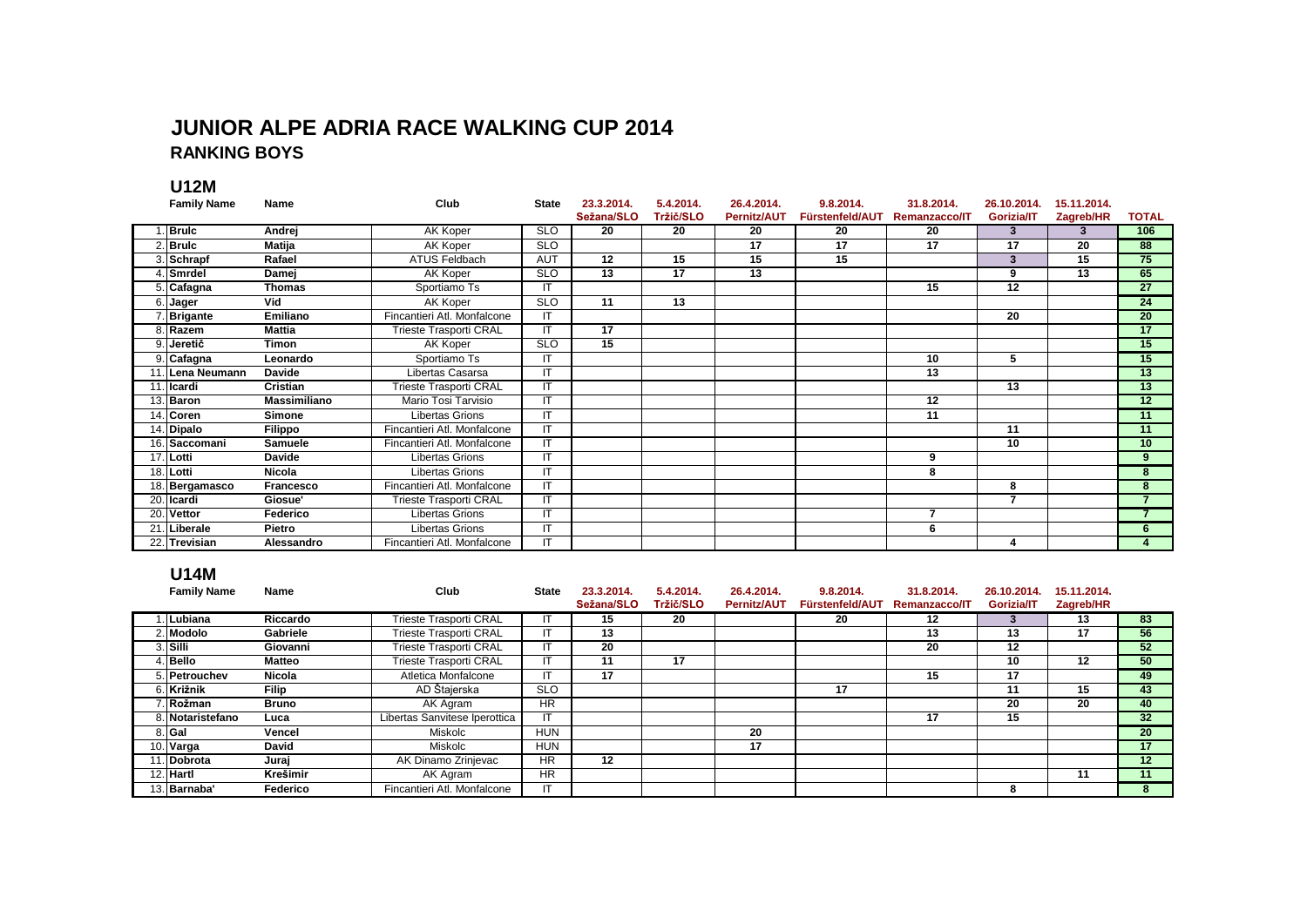#### **JUNIOR ALPE ADRIA RACE WALKING CUP 2014 RANKING BOYS**

**U12M**

| <b>Family Name</b> | Name                | Club                          | <b>State</b>           | 23.3.2014. | 5.4.2014. | 26.4.2014.         | 9.8.2014.       | 31.8.2014.           | 26.10.2014. | 15.11.2014. |                          |
|--------------------|---------------------|-------------------------------|------------------------|------------|-----------|--------------------|-----------------|----------------------|-------------|-------------|--------------------------|
|                    |                     |                               |                        | Sežana/SLO | Tržič/SLO | <b>Pernitz/AUT</b> | Fürstenfeld/AUT | <b>Remanzacco/IT</b> | Gorizia/IT  | Zagreb/HR   | <b>TOTAL</b>             |
| Bruic              | Andrej              | <b>AK Koper</b>               | <b>SLO</b>             | 20         | 20        | 20                 | 20              | 20                   | 3           | 3           | 106                      |
| 2. Brulc           | Matija              | AK Koper                      | <b>SLO</b>             |            |           | 17                 | $\overline{17}$ | $\overline{17}$      | 17          | 20          | 88                       |
| 3. Schrapf         | Rafael              | <b>ATUS Feldbach</b>          | <b>AUT</b>             | 12         | 15        | 15                 | 15              |                      | 3           | 15          | 75                       |
| 4. Smrdel          | Damej               | AK Koper                      | <b>SLO</b>             | 13         | 17        | 13                 |                 |                      | 9           | 13          | 65                       |
| 5. Cafagna         | <b>Thomas</b>       | Sportiamo Ts                  | IT                     |            |           |                    |                 | 15                   | 12          |             | $\overline{27}$          |
| 6. Jager           | Vid                 | AK Koper                      | SLO                    | 11         | 13        |                    |                 |                      |             |             | $\overline{24}$          |
| 7. Brigante        | Emiliano            | Fincantieri Atl. Monfalcone   | $\mathsf{I}\mathsf{T}$ |            |           |                    |                 |                      | 20          |             | $\overline{20}$          |
| 8. Razem           | <b>Mattia</b>       | <b>Trieste Trasporti CRAL</b> | IT                     | 17         |           |                    |                 |                      |             |             | 17                       |
| 9. Jeretič         | Timon               | AK Koper                      | <b>SLO</b>             | 15         |           |                    |                 |                      |             |             | 15                       |
| 9. Cafagna         | Leonardo            | Sportiamo Ts                  | IT                     |            |           |                    |                 | 10                   | 5           |             | $\overline{15}$          |
| 11. Lena Neumann   | <b>Davide</b>       | Libertas Casarsa              | IT                     |            |           |                    |                 | $\overline{13}$      |             |             | $\overline{13}$          |
| 11. Icardi         | Cristian            | <b>Trieste Trasporti CRAL</b> | $\mathsf{I}\mathsf{T}$ |            |           |                    |                 |                      | 13          |             | 13                       |
| 13. Baron          | <b>Massimiliano</b> | Mario Tosi Tarvisio           | IT                     |            |           |                    |                 | $\overline{12}$      |             |             | $\overline{12}$          |
| 14. Coren          | <b>Simone</b>       | <b>Libertas Grions</b>        | $\mathsf{I}\mathsf{T}$ |            |           |                    |                 | 11                   |             |             | 11                       |
| 14. Dipalo         | Filippo             | Fincantieri Atl. Monfalcone   | IT                     |            |           |                    |                 |                      | 11          |             | 11                       |
| 16. Saccomani      | Samuele             | Fincantieri Atl. Monfalcone   | $\mathsf{I}\mathsf{T}$ |            |           |                    |                 |                      | 10          |             | 10                       |
| $17.$ Lotti        | <b>Davide</b>       | <b>Libertas Grions</b>        | IT                     |            |           |                    |                 | 9                    |             |             | 9.                       |
| 18. Lotti          | <b>Nicola</b>       | <b>Libertas Grions</b>        | IT                     |            |           |                    |                 | 8                    |             |             | 8                        |
| 18. Bergamasco     | Francesco           | Fincantieri Atl. Monfalcone   | IT                     |            |           |                    |                 |                      | 8           |             | 8                        |
| 20. Icardi         | Giosue'             | <b>Trieste Trasporti CRAL</b> | IT                     |            |           |                    |                 |                      | 7           |             | $\overline{\phantom{a}}$ |
| 20. Vettor         | Federico            | Libertas Grions               | IT                     |            |           |                    |                 | 7                    |             |             |                          |
| 21. Liberale       | Pietro              | <b>Libertas Grions</b>        | IT                     |            |           |                    |                 | 6                    |             |             | 6.                       |
| 22. Trevisian      | Alessandro          | Fincantieri Atl. Monfalcone   | IT                     |            |           |                    |                 |                      | 4           |             |                          |

#### **U14M**

| <b>Family Name</b> | Name          | Club                          | <b>State</b> | 23.3.2014. | 5.4.2014.        | 26.4.2014.         | 9.8.2014.       | 31.8.2014.           | 26.10.2014. | 15.11.2014. |                 |
|--------------------|---------------|-------------------------------|--------------|------------|------------------|--------------------|-----------------|----------------------|-------------|-------------|-----------------|
|                    |               |                               |              | Sežana/SLO | <b>Tržič/SLO</b> | <b>Pernitz/AUT</b> | Fürstenfeld/AUT | <b>Remanzacco/IT</b> | Gorizia/IT  | Zagreb/HR   |                 |
| Lubiana            | Riccardo      | Trieste Trasporti CRAL        |              | 15         | 20               |                    | 20              | 12                   |             | 13          | 83              |
| 2. Modolo          | Gabriele      | Trieste Trasporti CRAL        |              | 13         |                  |                    |                 | 13                   | 13          | 17          | 56              |
| 3. Silli           | Giovanni      | Trieste Trasporti CRAL        |              | 20         |                  |                    |                 | 20                   | 12          |             | 52 <sub>2</sub> |
| Bello              | <b>Matteo</b> | Trieste Trasporti CRAL        |              | 11         | 17               |                    |                 |                      | 10          | 12          | 50              |
| 5. Petrouchev      | Nicola        | Atletica Monfalcone           |              | 17         |                  |                    |                 | 15                   | 17          |             | 49              |
| 6. Križnik         | Filip         | AD Štajerska                  | <b>SLO</b>   |            |                  |                    | 17              |                      |             | 15          | 43              |
| . Rožman           | Bruno         | AK Agram                      | <b>HR</b>    |            |                  |                    |                 |                      | 20          | 20          | 40              |
| 8. Notaristefano   | Luca          | Libertas Sanvitese Iperottica |              |            |                  |                    |                 | 17                   | 15          |             | 32              |
| 8. Gal             | Vencel        | Miskolc                       | <b>HUN</b>   |            |                  | 20                 |                 |                      |             |             | 20              |
| 10. Varga          | David         | Miskolc                       | <b>HUN</b>   |            |                  | 17                 |                 |                      |             |             | 17              |
| ∣.lDobrota         | Juraj         | AK Dinamo Zrinjevac           | <b>HR</b>    | 12         |                  |                    |                 |                      |             |             | 12              |
| 12. Hartl          | Krešimir      | AK Agram                      | <b>HR</b>    |            |                  |                    |                 |                      |             | 11          | 11              |
| 13. Barnaba'       | Federico      | Fincantieri Atl. Monfalcone   |              |            |                  |                    |                 |                      | 8           |             | 8               |